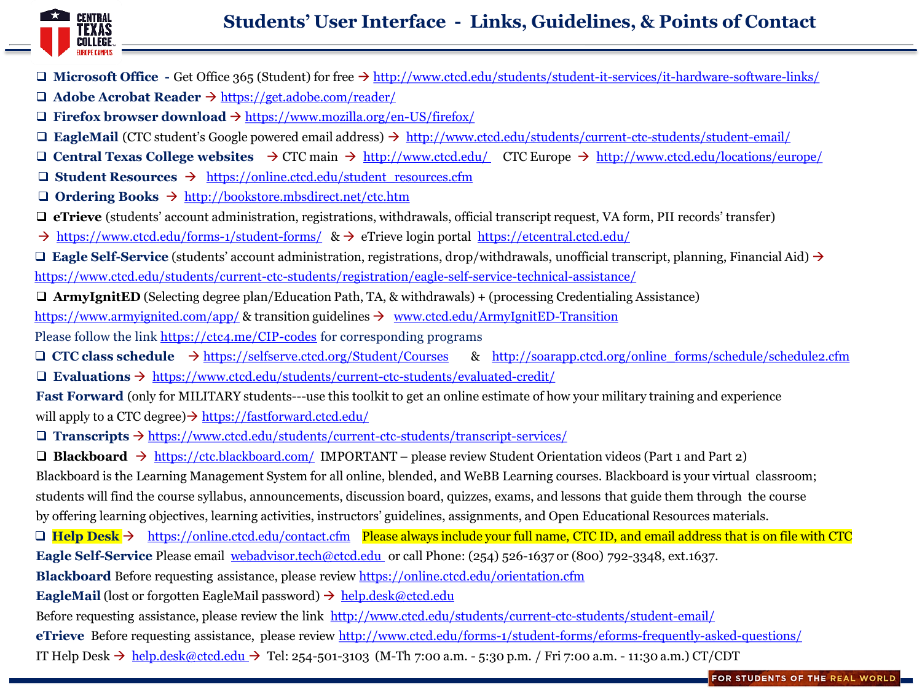

- **Microsoft Office -** Get Office 365 (Student) for free <http://www.ctcd.edu/students/student-it-services/it-hardware-software-links/>
- **Adobe Acrobat Reader** <https://get.adobe.com/reader/>
- $\Box$  **Firefox browser download**  $\rightarrow$  <https://www.mozilla.org/en-US/firefox/>
- **EagleMail** (CTC student's Google powered email address) <http://www.ctcd.edu/students/current-ctc-students/student-email/>
- **Central Texas College websites**  $\rightarrow$  CTC main  $\rightarrow$  <http://www.ctcd.edu/> CTC Europe  $\rightarrow$  <http://www.ctcd.edu/locations/europe/>
- **Student Resources**  [https://online.ctcd.edu/student\\_resources.cfm](https://online.ctcd.edu/student_resources.cfm)
- **Ordering Books** <http://bookstore.mbsdirect.net/ctc.htm>
- **eTrieve** (students' account administration, registrations, withdrawals, official transcript request, VA form, PII records' transfer)
- $\rightarrow$  <https://www.ctcd.edu/forms-1/student-forms/>  $\&$   $\rightarrow$  eTrieve login portal <https://etcentral.ctcd.edu/>

**□ Eagle Self-Service** (students' account administration, registrations, drop/withdrawals, unofficial transcript, planning, Financial Aid) → <https://www.ctcd.edu/students/current-ctc-students/registration/eagle-self-service-technical-assistance/>

**ArmyIgnitED** (Selecting degree plan/Education Path, TA, & withdrawals) + (processing Credentialing Assistance)

<https://www.armyignited.com/app/> & transition guidelines  $\rightarrow$  [www.ctcd.edu/ArmyIgnitED-Transition](http://www.ctcd.edu/ArmyIgnitED-Transition)

Please follow the link<https://ctc4.me/CIP-codes> for corresponding programs

 **CTC class schedule** <https://selfserve.ctcd.org/Student/Courses> & [http://soarapp.ctcd.org/online\\_forms/schedule/schedule2.cfm](http://soarapp.ctcd.org/online_forms/schedule/schedule2.cfm) **Evaluations**  <https://www.ctcd.edu/students/current-ctc-students/evaluated-credit/>

**Fast Forward** (only for MILITARY students---use this toolkit to get an online estimate of how your military training and experience will apply to a CTC degree)  $\rightarrow$  <https://fastforward.ctcd.edu/>

 $\Box$  **Transcripts**  $\rightarrow$  <https://www.ctcd.edu/students/current-ctc-students/transcript-services/>

 **Blackboard** <https://ctc.blackboard.com/> IMPORTANT – please review Student Orientation videos (Part 1 and Part 2) Blackboard is the Learning Management System for all online, blended, and WeBB Learning courses. Blackboard is your virtual classroom; students will find the course syllabus, announcements, discussion board, quizzes, exams, and lessons that guide them through the course by offering learning objectives, learning activities, instructors' guidelines, assignments, and Open Educational Resources materials.

□ Help Desk → <https://online.ctcd.edu/contact.cfm> Please always include your full name, CTC ID, and email address that is on file with CTC

**Eagle Self-Service** Please email [webadvisor.tech@ctcd.edu](mailto:webadvisor.tech@ctcd.edu) or call Phone: (254) 526-1637 or (800) 792-3348, ext.1637.

**Blackboard** Before requesting assistance, please review <https://online.ctcd.edu/orientation.cfm>

**EagleMail** (lost or forgotten EagleMail password)  $\rightarrow$  [help.desk@ctcd.edu](mailto:help.desk@ctcd.edu)

Before requesting assistance, please review the link <http://www.ctcd.edu/students/current-ctc-students/student-email/>

**eTrieve** Before requesting assistance, please review <http://www.ctcd.edu/forms-1/student-forms/eforms-frequently-asked-questions/>

IT Help Desk  $\rightarrow$  [help.desk@ctcd.edu](mailto:help.desk@ctcd.ed)  $\rightarrow$  Tel: 254-501-3103 (M-Th 7:00 a.m. - 5:30 p.m. / Fri 7:00 a.m. - 11:30 a.m.) CT/CDT